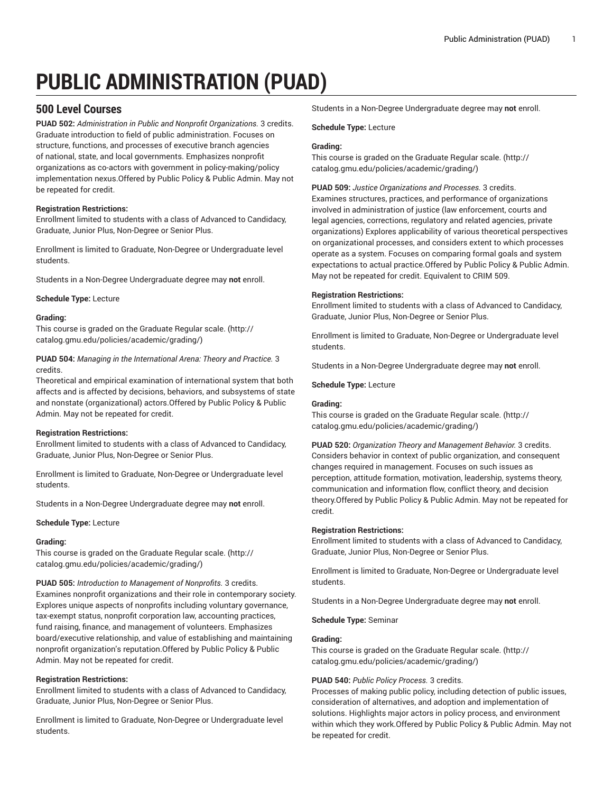# **PUBLIC ADMINISTRATION (PUAD)**

# **500 Level Courses**

**PUAD 502:** *Administration in Public and Nonprofit Organizations.* 3 credits. Graduate introduction to field of public administration. Focuses on structure, functions, and processes of executive branch agencies of national, state, and local governments. Emphasizes nonprofit organizations as co-actors with government in policy-making/policy implementation nexus.Offered by Public Policy & Public Admin. May not be repeated for credit.

## **Registration Restrictions:**

Enrollment limited to students with a class of Advanced to Candidacy, Graduate, Junior Plus, Non-Degree or Senior Plus.

Enrollment is limited to Graduate, Non-Degree or Undergraduate level students.

Students in a Non-Degree Undergraduate degree may **not** enroll.

**Schedule Type:** Lecture

## **Grading:**

This course is graded on the [Graduate Regular scale.](http://catalog.gmu.edu/policies/academic/grading/) [\(http://](http://catalog.gmu.edu/policies/academic/grading/) [catalog.gmu.edu/policies/academic/grading/\)](http://catalog.gmu.edu/policies/academic/grading/)

**PUAD 504:** *Managing in the International Arena: Theory and Practice.* 3 credits.

Theoretical and empirical examination of international system that both affects and is affected by decisions, behaviors, and subsystems of state and nonstate (organizational) actors.Offered by Public Policy & Public Admin. May not be repeated for credit.

## **Registration Restrictions:**

Enrollment limited to students with a class of Advanced to Candidacy, Graduate, Junior Plus, Non-Degree or Senior Plus.

Enrollment is limited to Graduate, Non-Degree or Undergraduate level students.

Students in a Non-Degree Undergraduate degree may **not** enroll.

## **Schedule Type:** Lecture

## **Grading:**

This course is graded on the [Graduate Regular scale.](http://catalog.gmu.edu/policies/academic/grading/) [\(http://](http://catalog.gmu.edu/policies/academic/grading/) [catalog.gmu.edu/policies/academic/grading/\)](http://catalog.gmu.edu/policies/academic/grading/)

**PUAD 505:** *Introduction to Management of Nonprofits.* 3 credits.

Examines nonprofit organizations and their role in contemporary society. Explores unique aspects of nonprofits including voluntary governance, tax-exempt status, nonprofit corporation law, accounting practices, fund raising, finance, and management of volunteers. Emphasizes board/executive relationship, and value of establishing and maintaining nonprofit organization's reputation.Offered by Public Policy & Public Admin. May not be repeated for credit.

## **Registration Restrictions:**

Enrollment limited to students with a class of Advanced to Candidacy, Graduate, Junior Plus, Non-Degree or Senior Plus.

Enrollment is limited to Graduate, Non-Degree or Undergraduate level students.

Students in a Non-Degree Undergraduate degree may **not** enroll.

**Schedule Type:** Lecture

## **Grading:**

This course is graded on the [Graduate Regular scale.](http://catalog.gmu.edu/policies/academic/grading/) ([http://](http://catalog.gmu.edu/policies/academic/grading/) [catalog.gmu.edu/policies/academic/grading/](http://catalog.gmu.edu/policies/academic/grading/))

**PUAD 509:** *Justice Organizations and Processes.* 3 credits. Examines structures, practices, and performance of organizations involved in administration of justice (law enforcement, courts and legal agencies, corrections, regulatory and related agencies, private organizations) Explores applicability of various theoretical perspectives on organizational processes, and considers extent to which processes operate as a system. Focuses on comparing formal goals and system expectations to actual practice.Offered by Public Policy & Public Admin. May not be repeated for credit. Equivalent to CRIM 509.

## **Registration Restrictions:**

Enrollment limited to students with a class of Advanced to Candidacy, Graduate, Junior Plus, Non-Degree or Senior Plus.

Enrollment is limited to Graduate, Non-Degree or Undergraduate level students.

Students in a Non-Degree Undergraduate degree may **not** enroll.

**Schedule Type:** Lecture

## **Grading:**

This course is graded on the [Graduate Regular scale.](http://catalog.gmu.edu/policies/academic/grading/) ([http://](http://catalog.gmu.edu/policies/academic/grading/) [catalog.gmu.edu/policies/academic/grading/](http://catalog.gmu.edu/policies/academic/grading/))

**PUAD 520:** *Organization Theory and Management Behavior.* 3 credits. Considers behavior in context of public organization, and consequent changes required in management. Focuses on such issues as perception, attitude formation, motivation, leadership, systems theory, communication and information flow, conflict theory, and decision theory.Offered by Public Policy & Public Admin. May not be repeated for credit.

## **Registration Restrictions:**

Enrollment limited to students with a class of Advanced to Candidacy, Graduate, Junior Plus, Non-Degree or Senior Plus.

Enrollment is limited to Graduate, Non-Degree or Undergraduate level students.

Students in a Non-Degree Undergraduate degree may **not** enroll.

**Schedule Type:** Seminar

## **Grading:**

This course is graded on the [Graduate Regular scale.](http://catalog.gmu.edu/policies/academic/grading/) ([http://](http://catalog.gmu.edu/policies/academic/grading/) [catalog.gmu.edu/policies/academic/grading/](http://catalog.gmu.edu/policies/academic/grading/))

## **PUAD 540:** *Public Policy Process.* 3 credits.

Processes of making public policy, including detection of public issues, consideration of alternatives, and adoption and implementation of solutions. Highlights major actors in policy process, and environment within which they work.Offered by Public Policy & Public Admin. May not be repeated for credit.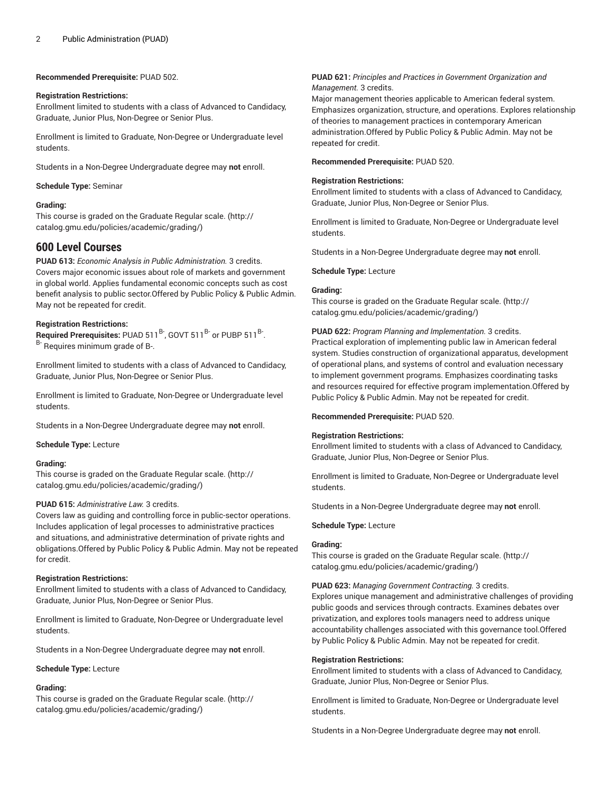**Recommended Prerequisite:** PUAD 502.

## **Registration Restrictions:**

Enrollment limited to students with a class of Advanced to Candidacy, Graduate, Junior Plus, Non-Degree or Senior Plus.

Enrollment is limited to Graduate, Non-Degree or Undergraduate level students.

Students in a Non-Degree Undergraduate degree may **not** enroll.

## **Schedule Type:** Seminar

## **Grading:**

This course is graded on the [Graduate Regular scale.](http://catalog.gmu.edu/policies/academic/grading/) [\(http://](http://catalog.gmu.edu/policies/academic/grading/) [catalog.gmu.edu/policies/academic/grading/\)](http://catalog.gmu.edu/policies/academic/grading/)

# **600 Level Courses**

**PUAD 613:** *Economic Analysis in Public Administration.* 3 credits. Covers major economic issues about role of markets and government in global world. Applies fundamental economic concepts such as cost benefit analysis to public sector.Offered by Public Policy & Public Admin. May not be repeated for credit.

## **Registration Restrictions:**

Required Prerequisites: PUAD 511<sup>B-</sup>, GOVT 511<sup>B-</sup> or PUBP 511<sup>B-</sup>. B- Requires minimum grade of B-.

Enrollment limited to students with a class of Advanced to Candidacy, Graduate, Junior Plus, Non-Degree or Senior Plus.

Enrollment is limited to Graduate, Non-Degree or Undergraduate level students.

Students in a Non-Degree Undergraduate degree may **not** enroll.

**Schedule Type:** Lecture

## **Grading:**

This course is graded on the [Graduate Regular scale.](http://catalog.gmu.edu/policies/academic/grading/) [\(http://](http://catalog.gmu.edu/policies/academic/grading/) [catalog.gmu.edu/policies/academic/grading/\)](http://catalog.gmu.edu/policies/academic/grading/)

#### **PUAD 615:** *Administrative Law.* 3 credits.

Covers law as guiding and controlling force in public-sector operations. Includes application of legal processes to administrative practices and situations, and administrative determination of private rights and obligations.Offered by Public Policy & Public Admin. May not be repeated for credit.

#### **Registration Restrictions:**

Enrollment limited to students with a class of Advanced to Candidacy, Graduate, Junior Plus, Non-Degree or Senior Plus.

Enrollment is limited to Graduate, Non-Degree or Undergraduate level students.

Students in a Non-Degree Undergraduate degree may **not** enroll.

#### **Schedule Type:** Lecture

## **Grading:**

This course is graded on the [Graduate Regular scale.](http://catalog.gmu.edu/policies/academic/grading/) [\(http://](http://catalog.gmu.edu/policies/academic/grading/) [catalog.gmu.edu/policies/academic/grading/\)](http://catalog.gmu.edu/policies/academic/grading/)

## **PUAD 621:** *Principles and Practices in Government Organization and Management.* 3 credits.

Major management theories applicable to American federal system. Emphasizes organization, structure, and operations. Explores relationship of theories to management practices in contemporary American administration.Offered by Public Policy & Public Admin. May not be repeated for credit.

**Recommended Prerequisite:** PUAD 520.

## **Registration Restrictions:**

Enrollment limited to students with a class of Advanced to Candidacy, Graduate, Junior Plus, Non-Degree or Senior Plus.

Enrollment is limited to Graduate, Non-Degree or Undergraduate level students.

Students in a Non-Degree Undergraduate degree may **not** enroll.

## **Schedule Type:** Lecture

## **Grading:**

This course is graded on the [Graduate Regular scale.](http://catalog.gmu.edu/policies/academic/grading/) ([http://](http://catalog.gmu.edu/policies/academic/grading/) [catalog.gmu.edu/policies/academic/grading/](http://catalog.gmu.edu/policies/academic/grading/))

**PUAD 622:** *Program Planning and Implementation.* 3 credits.

Practical exploration of implementing public law in American federal system. Studies construction of organizational apparatus, development of operational plans, and systems of control and evaluation necessary to implement government programs. Emphasizes coordinating tasks and resources required for effective program implementation.Offered by Public Policy & Public Admin. May not be repeated for credit.

**Recommended Prerequisite:** PUAD 520.

## **Registration Restrictions:**

Enrollment limited to students with a class of Advanced to Candidacy, Graduate, Junior Plus, Non-Degree or Senior Plus.

Enrollment is limited to Graduate, Non-Degree or Undergraduate level students.

Students in a Non-Degree Undergraduate degree may **not** enroll.

## **Schedule Type:** Lecture

## **Grading:**

This course is graded on the [Graduate Regular scale.](http://catalog.gmu.edu/policies/academic/grading/) ([http://](http://catalog.gmu.edu/policies/academic/grading/) [catalog.gmu.edu/policies/academic/grading/](http://catalog.gmu.edu/policies/academic/grading/))

#### **PUAD 623:** *Managing Government Contracting.* 3 credits.

Explores unique management and administrative challenges of providing public goods and services through contracts. Examines debates over privatization, and explores tools managers need to address unique accountability challenges associated with this governance tool.Offered by Public Policy & Public Admin. May not be repeated for credit.

#### **Registration Restrictions:**

Enrollment limited to students with a class of Advanced to Candidacy, Graduate, Junior Plus, Non-Degree or Senior Plus.

Enrollment is limited to Graduate, Non-Degree or Undergraduate level students.

Students in a Non-Degree Undergraduate degree may **not** enroll.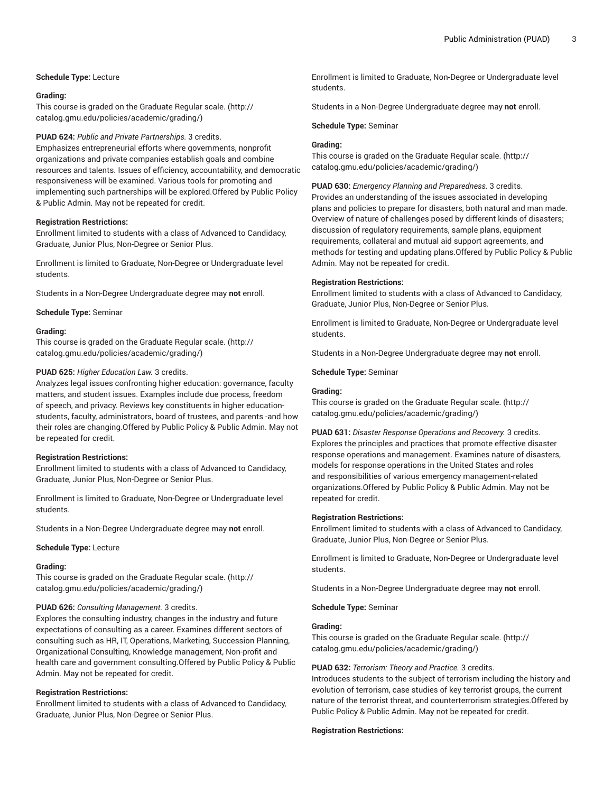## **Schedule Type:** Lecture

#### **Grading:**

This course is graded on the [Graduate Regular scale.](http://catalog.gmu.edu/policies/academic/grading/) [\(http://](http://catalog.gmu.edu/policies/academic/grading/) [catalog.gmu.edu/policies/academic/grading/\)](http://catalog.gmu.edu/policies/academic/grading/)

#### **PUAD 624:** *Public and Private Partnerships.* 3 credits.

Emphasizes entrepreneurial efforts where governments, nonprofit organizations and private companies establish goals and combine resources and talents. Issues of efficiency, accountability, and democratic responsiveness will be examined. Various tools for promoting and implementing such partnerships will be explored.Offered by Public Policy & Public Admin. May not be repeated for credit.

#### **Registration Restrictions:**

Enrollment limited to students with a class of Advanced to Candidacy, Graduate, Junior Plus, Non-Degree or Senior Plus.

Enrollment is limited to Graduate, Non-Degree or Undergraduate level students.

Students in a Non-Degree Undergraduate degree may **not** enroll.

**Schedule Type:** Seminar

## **Grading:**

This course is graded on the [Graduate Regular scale.](http://catalog.gmu.edu/policies/academic/grading/) [\(http://](http://catalog.gmu.edu/policies/academic/grading/) [catalog.gmu.edu/policies/academic/grading/\)](http://catalog.gmu.edu/policies/academic/grading/)

## **PUAD 625:** *Higher Education Law.* 3 credits.

Analyzes legal issues confronting higher education: governance, faculty matters, and student issues. Examples include due process, freedom of speech, and privacy. Reviews key constituents in higher educationstudents, faculty, administrators, board of trustees, and parents -and how their roles are changing.Offered by Public Policy & Public Admin. May not be repeated for credit.

#### **Registration Restrictions:**

Enrollment limited to students with a class of Advanced to Candidacy, Graduate, Junior Plus, Non-Degree or Senior Plus.

Enrollment is limited to Graduate, Non-Degree or Undergraduate level students.

Students in a Non-Degree Undergraduate degree may **not** enroll.

**Schedule Type:** Lecture

#### **Grading:**

This course is graded on the [Graduate Regular scale.](http://catalog.gmu.edu/policies/academic/grading/) [\(http://](http://catalog.gmu.edu/policies/academic/grading/) [catalog.gmu.edu/policies/academic/grading/\)](http://catalog.gmu.edu/policies/academic/grading/)

#### **PUAD 626:** *Consulting Management.* 3 credits.

Explores the consulting industry, changes in the industry and future expectations of consulting as a career. Examines different sectors of consulting such as HR, IT, Operations, Marketing, Succession Planning, Organizational Consulting, Knowledge management, Non-profit and health care and government consulting.Offered by Public Policy & Public Admin. May not be repeated for credit.

## **Registration Restrictions:**

Enrollment limited to students with a class of Advanced to Candidacy, Graduate, Junior Plus, Non-Degree or Senior Plus.

Enrollment is limited to Graduate, Non-Degree or Undergraduate level students.

Students in a Non-Degree Undergraduate degree may **not** enroll.

**Schedule Type:** Seminar

## **Grading:**

This course is graded on the [Graduate Regular scale.](http://catalog.gmu.edu/policies/academic/grading/) ([http://](http://catalog.gmu.edu/policies/academic/grading/) [catalog.gmu.edu/policies/academic/grading/](http://catalog.gmu.edu/policies/academic/grading/))

**PUAD 630:** *Emergency Planning and Preparedness.* 3 credits.

Provides an understanding of the issues associated in developing plans and policies to prepare for disasters, both natural and man made. Overview of nature of challenges posed by different kinds of disasters; discussion of regulatory requirements, sample plans, equipment requirements, collateral and mutual aid support agreements, and methods for testing and updating plans.Offered by Public Policy & Public Admin. May not be repeated for credit.

#### **Registration Restrictions:**

Enrollment limited to students with a class of Advanced to Candidacy, Graduate, Junior Plus, Non-Degree or Senior Plus.

Enrollment is limited to Graduate, Non-Degree or Undergraduate level students.

Students in a Non-Degree Undergraduate degree may **not** enroll.

**Schedule Type:** Seminar

#### **Grading:**

This course is graded on the [Graduate Regular scale.](http://catalog.gmu.edu/policies/academic/grading/) ([http://](http://catalog.gmu.edu/policies/academic/grading/) [catalog.gmu.edu/policies/academic/grading/](http://catalog.gmu.edu/policies/academic/grading/))

**PUAD 631:** *Disaster Response Operations and Recovery.* 3 credits. Explores the principles and practices that promote effective disaster response operations and management. Examines nature of disasters, models for response operations in the United States and roles and responsibilities of various emergency management-related organizations.Offered by Public Policy & Public Admin. May not be repeated for credit.

#### **Registration Restrictions:**

Enrollment limited to students with a class of Advanced to Candidacy, Graduate, Junior Plus, Non-Degree or Senior Plus.

Enrollment is limited to Graduate, Non-Degree or Undergraduate level students.

Students in a Non-Degree Undergraduate degree may **not** enroll.

**Schedule Type:** Seminar

## **Grading:**

This course is graded on the [Graduate Regular scale.](http://catalog.gmu.edu/policies/academic/grading/) ([http://](http://catalog.gmu.edu/policies/academic/grading/) [catalog.gmu.edu/policies/academic/grading/](http://catalog.gmu.edu/policies/academic/grading/))

#### **PUAD 632:** *Terrorism: Theory and Practice.* 3 credits.

Introduces students to the subject of terrorism including the history and evolution of terrorism, case studies of key terrorist groups, the current nature of the terrorist threat, and counterterrorism strategies.Offered by Public Policy & Public Admin. May not be repeated for credit.

#### **Registration Restrictions:**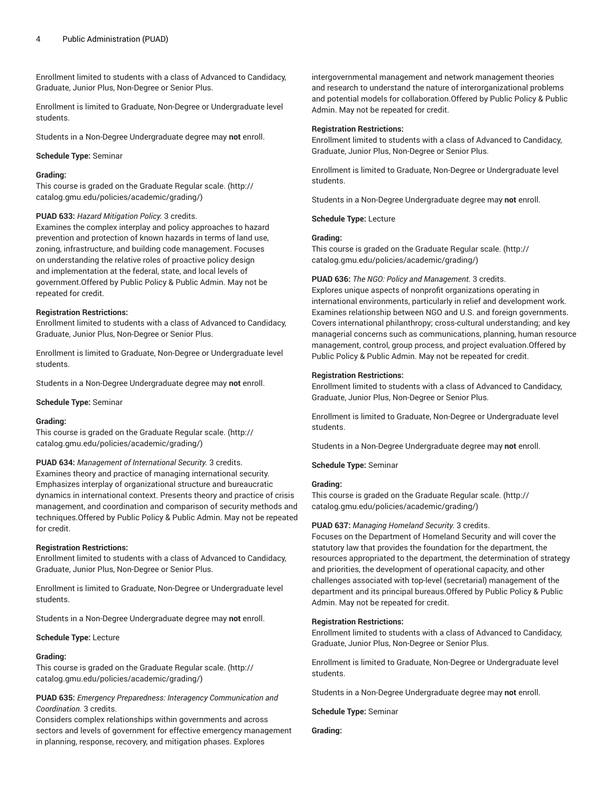Enrollment limited to students with a class of Advanced to Candidacy, Graduate, Junior Plus, Non-Degree or Senior Plus.

Enrollment is limited to Graduate, Non-Degree or Undergraduate level students.

Students in a Non-Degree Undergraduate degree may **not** enroll.

## **Schedule Type:** Seminar

## **Grading:**

This course is graded on the [Graduate Regular scale.](http://catalog.gmu.edu/policies/academic/grading/) [\(http://](http://catalog.gmu.edu/policies/academic/grading/) [catalog.gmu.edu/policies/academic/grading/\)](http://catalog.gmu.edu/policies/academic/grading/)

## **PUAD 633:** *Hazard Mitigation Policy.* 3 credits.

Examines the complex interplay and policy approaches to hazard prevention and protection of known hazards in terms of land use, zoning, infrastructure, and building code management. Focuses on understanding the relative roles of proactive policy design and implementation at the federal, state, and local levels of government.Offered by Public Policy & Public Admin. May not be repeated for credit.

## **Registration Restrictions:**

Enrollment limited to students with a class of Advanced to Candidacy, Graduate, Junior Plus, Non-Degree or Senior Plus.

Enrollment is limited to Graduate, Non-Degree or Undergraduate level students.

Students in a Non-Degree Undergraduate degree may **not** enroll.

**Schedule Type:** Seminar

#### **Grading:**

This course is graded on the [Graduate Regular scale.](http://catalog.gmu.edu/policies/academic/grading/) [\(http://](http://catalog.gmu.edu/policies/academic/grading/) [catalog.gmu.edu/policies/academic/grading/\)](http://catalog.gmu.edu/policies/academic/grading/)

## **PUAD 634:** *Management of International Security.* 3 credits.

Examines theory and practice of managing international security. Emphasizes interplay of organizational structure and bureaucratic dynamics in international context. Presents theory and practice of crisis management, and coordination and comparison of security methods and techniques.Offered by Public Policy & Public Admin. May not be repeated for credit.

#### **Registration Restrictions:**

Enrollment limited to students with a class of Advanced to Candidacy, Graduate, Junior Plus, Non-Degree or Senior Plus.

Enrollment is limited to Graduate, Non-Degree or Undergraduate level students.

Students in a Non-Degree Undergraduate degree may **not** enroll.

#### **Schedule Type:** Lecture

#### **Grading:**

This course is graded on the [Graduate Regular scale.](http://catalog.gmu.edu/policies/academic/grading/) [\(http://](http://catalog.gmu.edu/policies/academic/grading/) [catalog.gmu.edu/policies/academic/grading/\)](http://catalog.gmu.edu/policies/academic/grading/)

**PUAD 635:** *Emergency Preparedness: Interagency Communication and Coordination.* 3 credits.

Considers complex relationships within governments and across sectors and levels of government for effective emergency management in planning, response, recovery, and mitigation phases. Explores

intergovernmental management and network management theories and research to understand the nature of interorganizational problems and potential models for collaboration.Offered by Public Policy & Public Admin. May not be repeated for credit.

#### **Registration Restrictions:**

Enrollment limited to students with a class of Advanced to Candidacy, Graduate, Junior Plus, Non-Degree or Senior Plus.

Enrollment is limited to Graduate, Non-Degree or Undergraduate level students.

Students in a Non-Degree Undergraduate degree may **not** enroll.

**Schedule Type:** Lecture

## **Grading:**

This course is graded on the [Graduate Regular scale.](http://catalog.gmu.edu/policies/academic/grading/) ([http://](http://catalog.gmu.edu/policies/academic/grading/) [catalog.gmu.edu/policies/academic/grading/](http://catalog.gmu.edu/policies/academic/grading/))

**PUAD 636:** *The NGO: Policy and Management.* 3 credits. Explores unique aspects of nonprofit organizations operating in international environments, particularly in relief and development work. Examines relationship between NGO and U.S. and foreign governments. Covers international philanthropy; cross-cultural understanding; and key managerial concerns such as communications, planning, human resource management, control, group process, and project evaluation.Offered by Public Policy & Public Admin. May not be repeated for credit.

#### **Registration Restrictions:**

Enrollment limited to students with a class of Advanced to Candidacy, Graduate, Junior Plus, Non-Degree or Senior Plus.

Enrollment is limited to Graduate, Non-Degree or Undergraduate level students.

Students in a Non-Degree Undergraduate degree may **not** enroll.

**Schedule Type:** Seminar

## **Grading:**

This course is graded on the [Graduate Regular scale.](http://catalog.gmu.edu/policies/academic/grading/) ([http://](http://catalog.gmu.edu/policies/academic/grading/) [catalog.gmu.edu/policies/academic/grading/](http://catalog.gmu.edu/policies/academic/grading/))

#### **PUAD 637:** *Managing Homeland Security.* 3 credits.

Focuses on the Department of Homeland Security and will cover the statutory law that provides the foundation for the department, the resources appropriated to the department, the determination of strategy and priorities, the development of operational capacity, and other challenges associated with top-level (secretarial) management of the department and its principal bureaus.Offered by Public Policy & Public Admin. May not be repeated for credit.

## **Registration Restrictions:**

Enrollment limited to students with a class of Advanced to Candidacy, Graduate, Junior Plus, Non-Degree or Senior Plus.

Enrollment is limited to Graduate, Non-Degree or Undergraduate level students.

Students in a Non-Degree Undergraduate degree may **not** enroll.

**Schedule Type:** Seminar

**Grading:**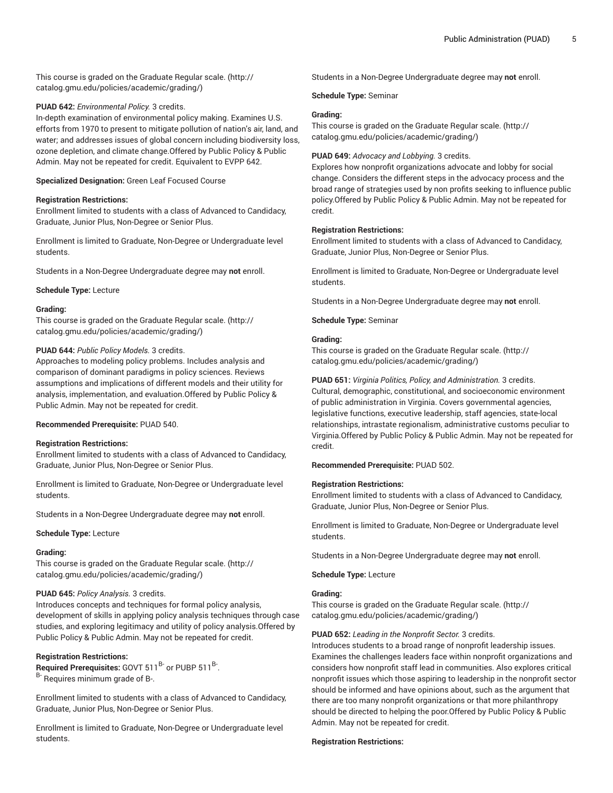This course is graded on the [Graduate Regular scale.](http://catalog.gmu.edu/policies/academic/grading/) [\(http://](http://catalog.gmu.edu/policies/academic/grading/) [catalog.gmu.edu/policies/academic/grading/\)](http://catalog.gmu.edu/policies/academic/grading/)

## **PUAD 642:** *Environmental Policy.* 3 credits.

In-depth examination of environmental policy making. Examines U.S. efforts from 1970 to present to mitigate pollution of nation's air, land, and water; and addresses issues of global concern including biodiversity loss, ozone depletion, and climate change.Offered by Public Policy & Public Admin. May not be repeated for credit. Equivalent to EVPP 642.

**Specialized Designation:** Green Leaf Focused Course

## **Registration Restrictions:**

Enrollment limited to students with a class of Advanced to Candidacy, Graduate, Junior Plus, Non-Degree or Senior Plus.

Enrollment is limited to Graduate, Non-Degree or Undergraduate level students.

Students in a Non-Degree Undergraduate degree may **not** enroll.

**Schedule Type:** Lecture

#### **Grading:**

This course is graded on the [Graduate Regular scale.](http://catalog.gmu.edu/policies/academic/grading/) [\(http://](http://catalog.gmu.edu/policies/academic/grading/) [catalog.gmu.edu/policies/academic/grading/\)](http://catalog.gmu.edu/policies/academic/grading/)

## **PUAD 644:** *Public Policy Models.* 3 credits.

Approaches to modeling policy problems. Includes analysis and comparison of dominant paradigms in policy sciences. Reviews assumptions and implications of different models and their utility for analysis, implementation, and evaluation.Offered by Public Policy & Public Admin. May not be repeated for credit.

#### **Recommended Prerequisite:** PUAD 540.

#### **Registration Restrictions:**

Enrollment limited to students with a class of Advanced to Candidacy, Graduate, Junior Plus, Non-Degree or Senior Plus.

Enrollment is limited to Graduate, Non-Degree or Undergraduate level students.

Students in a Non-Degree Undergraduate degree may **not** enroll.

#### **Schedule Type:** Lecture

#### **Grading:**

This course is graded on the [Graduate Regular scale.](http://catalog.gmu.edu/policies/academic/grading/) [\(http://](http://catalog.gmu.edu/policies/academic/grading/) [catalog.gmu.edu/policies/academic/grading/\)](http://catalog.gmu.edu/policies/academic/grading/)

## **PUAD 645:** *Policy Analysis.* 3 credits.

Introduces concepts and techniques for formal policy analysis, development of skills in applying policy analysis techniques through case studies, and exploring legitimacy and utility of policy analysis.Offered by Public Policy & Public Admin. May not be repeated for credit.

#### **Registration Restrictions:**

Required Prerequisites: GOVT 511<sup>B-</sup> or PUBP 511<sup>B-</sup>. B- Requires minimum grade of B-.

Enrollment limited to students with a class of Advanced to Candidacy, Graduate, Junior Plus, Non-Degree or Senior Plus.

Enrollment is limited to Graduate, Non-Degree or Undergraduate level students.

Students in a Non-Degree Undergraduate degree may **not** enroll.

**Schedule Type:** Seminar

## **Grading:**

This course is graded on the [Graduate Regular scale.](http://catalog.gmu.edu/policies/academic/grading/) ([http://](http://catalog.gmu.edu/policies/academic/grading/) [catalog.gmu.edu/policies/academic/grading/](http://catalog.gmu.edu/policies/academic/grading/))

## **PUAD 649:** *Advocacy and Lobbying.* 3 credits.

Explores how nonprofit organizations advocate and lobby for social change. Considers the different steps in the advocacy process and the broad range of strategies used by non profits seeking to influence public policy.Offered by Public Policy & Public Admin. May not be repeated for credit.

## **Registration Restrictions:**

Enrollment limited to students with a class of Advanced to Candidacy, Graduate, Junior Plus, Non-Degree or Senior Plus.

Enrollment is limited to Graduate, Non-Degree or Undergraduate level students.

Students in a Non-Degree Undergraduate degree may **not** enroll.

**Schedule Type:** Seminar

## **Grading:**

This course is graded on the [Graduate Regular scale.](http://catalog.gmu.edu/policies/academic/grading/) ([http://](http://catalog.gmu.edu/policies/academic/grading/) [catalog.gmu.edu/policies/academic/grading/](http://catalog.gmu.edu/policies/academic/grading/))

**PUAD 651:** *Virginia Politics, Policy, and Administration.* 3 credits. Cultural, demographic, constitutional, and socioeconomic environment of public administration in Virginia. Covers governmental agencies, legislative functions, executive leadership, staff agencies, state-local relationships, intrastate regionalism, administrative customs peculiar to Virginia.Offered by Public Policy & Public Admin. May not be repeated for credit.

#### **Recommended Prerequisite:** PUAD 502.

#### **Registration Restrictions:**

Enrollment limited to students with a class of Advanced to Candidacy, Graduate, Junior Plus, Non-Degree or Senior Plus.

Enrollment is limited to Graduate, Non-Degree or Undergraduate level students.

Students in a Non-Degree Undergraduate degree may **not** enroll.

**Schedule Type:** Lecture

## **Grading:**

This course is graded on the [Graduate Regular scale.](http://catalog.gmu.edu/policies/academic/grading/) ([http://](http://catalog.gmu.edu/policies/academic/grading/) [catalog.gmu.edu/policies/academic/grading/](http://catalog.gmu.edu/policies/academic/grading/))

## **PUAD 652:** *Leading in the Nonprofit Sector.* 3 credits.

Introduces students to a broad range of nonprofit leadership issues. Examines the challenges leaders face within nonprofit organizations and considers how nonprofit staff lead in communities. Also explores critical nonprofit issues which those aspiring to leadership in the nonprofit sector should be informed and have opinions about, such as the argument that there are too many nonprofit organizations or that more philanthropy should be directed to helping the poor.Offered by Public Policy & Public Admin. May not be repeated for credit.

#### **Registration Restrictions:**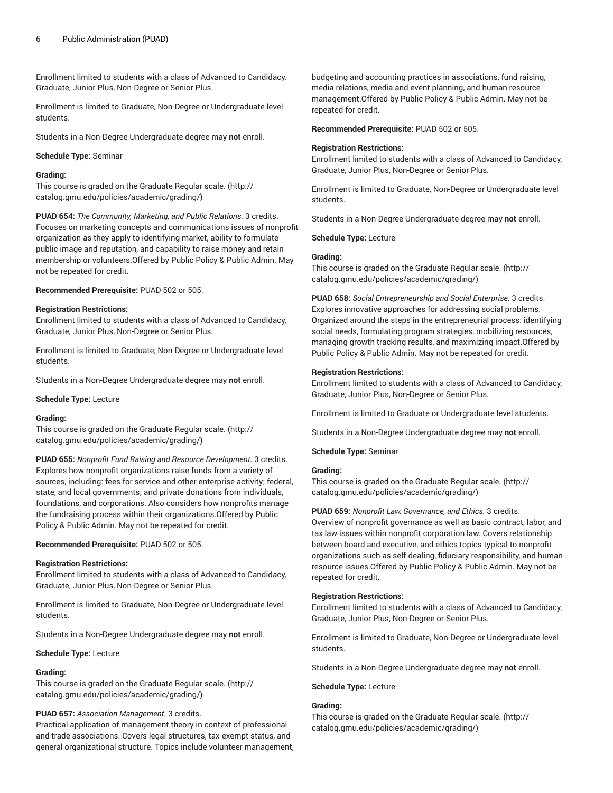Enrollment limited to students with a class of Advanced to Candidacy, Graduate, Junior Plus, Non-Degree or Senior Plus.

Enrollment is limited to Graduate, Non-Degree or Undergraduate level students.

Students in a Non-Degree Undergraduate degree may **not** enroll.

## **Schedule Type:** Seminar

## **Grading:**

This course is graded on the [Graduate Regular scale.](http://catalog.gmu.edu/policies/academic/grading/) [\(http://](http://catalog.gmu.edu/policies/academic/grading/) [catalog.gmu.edu/policies/academic/grading/\)](http://catalog.gmu.edu/policies/academic/grading/)

**PUAD 654:** *The Community, Marketing, and Public Relations.* 3 credits. Focuses on marketing concepts and communications issues of nonprofit organization as they apply to identifying market, ability to formulate public image and reputation, and capability to raise money and retain membership or volunteers.Offered by Public Policy & Public Admin. May not be repeated for credit.

**Recommended Prerequisite:** PUAD 502 or 505.

## **Registration Restrictions:**

Enrollment limited to students with a class of Advanced to Candidacy, Graduate, Junior Plus, Non-Degree or Senior Plus.

Enrollment is limited to Graduate, Non-Degree or Undergraduate level students.

Students in a Non-Degree Undergraduate degree may **not** enroll.

**Schedule Type:** Lecture

#### **Grading:**

This course is graded on the [Graduate Regular scale.](http://catalog.gmu.edu/policies/academic/grading/) [\(http://](http://catalog.gmu.edu/policies/academic/grading/) [catalog.gmu.edu/policies/academic/grading/\)](http://catalog.gmu.edu/policies/academic/grading/)

**PUAD 655:** *Nonprofit Fund Raising and Resource Development.* 3 credits. Explores how nonprofit organizations raise funds from a variety of sources, including: fees for service and other enterprise activity; federal, state, and local governments; and private donations from individuals, foundations, and corporations. Also considers how nonprofits manage the fundraising process within their organizations.Offered by Public Policy & Public Admin. May not be repeated for credit.

**Recommended Prerequisite:** PUAD 502 or 505.

#### **Registration Restrictions:**

Enrollment limited to students with a class of Advanced to Candidacy, Graduate, Junior Plus, Non-Degree or Senior Plus.

Enrollment is limited to Graduate, Non-Degree or Undergraduate level students.

Students in a Non-Degree Undergraduate degree may **not** enroll.

**Schedule Type:** Lecture

#### **Grading:**

This course is graded on the [Graduate Regular scale.](http://catalog.gmu.edu/policies/academic/grading/) [\(http://](http://catalog.gmu.edu/policies/academic/grading/) [catalog.gmu.edu/policies/academic/grading/\)](http://catalog.gmu.edu/policies/academic/grading/)

## **PUAD 657:** *Association Management.* 3 credits.

Practical application of management theory in context of professional and trade associations. Covers legal structures, tax-exempt status, and general organizational structure. Topics include volunteer management,

budgeting and accounting practices in associations, fund raising, media relations, media and event planning, and human resource management.Offered by Public Policy & Public Admin. May not be repeated for credit.

**Recommended Prerequisite:** PUAD 502 or 505.

## **Registration Restrictions:**

Enrollment limited to students with a class of Advanced to Candidacy, Graduate, Junior Plus, Non-Degree or Senior Plus.

Enrollment is limited to Graduate, Non-Degree or Undergraduate level students.

Students in a Non-Degree Undergraduate degree may **not** enroll.

**Schedule Type:** Lecture

## **Grading:**

This course is graded on the [Graduate Regular scale.](http://catalog.gmu.edu/policies/academic/grading/) ([http://](http://catalog.gmu.edu/policies/academic/grading/) [catalog.gmu.edu/policies/academic/grading/](http://catalog.gmu.edu/policies/academic/grading/))

**PUAD 658:** *Social Entrepreneurship and Social Enterprise.* 3 credits. Explores innovative approaches for addressing social problems. Organized around the steps in the entrepreneurial process: identifying social needs, formulating program strategies, mobilizing resources, managing growth tracking results, and maximizing impact.Offered by Public Policy & Public Admin. May not be repeated for credit.

## **Registration Restrictions:**

Enrollment limited to students with a class of Advanced to Candidacy, Graduate, Junior Plus, Non-Degree or Senior Plus.

Enrollment is limited to Graduate or Undergraduate level students.

Students in a Non-Degree Undergraduate degree may **not** enroll.

**Schedule Type:** Seminar

#### **Grading:**

This course is graded on the [Graduate Regular scale.](http://catalog.gmu.edu/policies/academic/grading/) ([http://](http://catalog.gmu.edu/policies/academic/grading/) [catalog.gmu.edu/policies/academic/grading/](http://catalog.gmu.edu/policies/academic/grading/))

**PUAD 659:** *Nonprofit Law, Governance, and Ethics.* 3 credits. Overview of nonprofit governance as well as basic contract, labor, and tax law issues within nonprofit corporation law. Covers relationship between board and executive, and ethics topics typical to nonprofit organizations such as self-dealing, fiduciary responsibility, and human resource issues.Offered by Public Policy & Public Admin. May not be repeated for credit.

## **Registration Restrictions:**

Enrollment limited to students with a class of Advanced to Candidacy, Graduate, Junior Plus, Non-Degree or Senior Plus.

Enrollment is limited to Graduate, Non-Degree or Undergraduate level students.

Students in a Non-Degree Undergraduate degree may **not** enroll.

**Schedule Type:** Lecture

## **Grading:**

This course is graded on the [Graduate Regular scale.](http://catalog.gmu.edu/policies/academic/grading/) ([http://](http://catalog.gmu.edu/policies/academic/grading/) [catalog.gmu.edu/policies/academic/grading/](http://catalog.gmu.edu/policies/academic/grading/))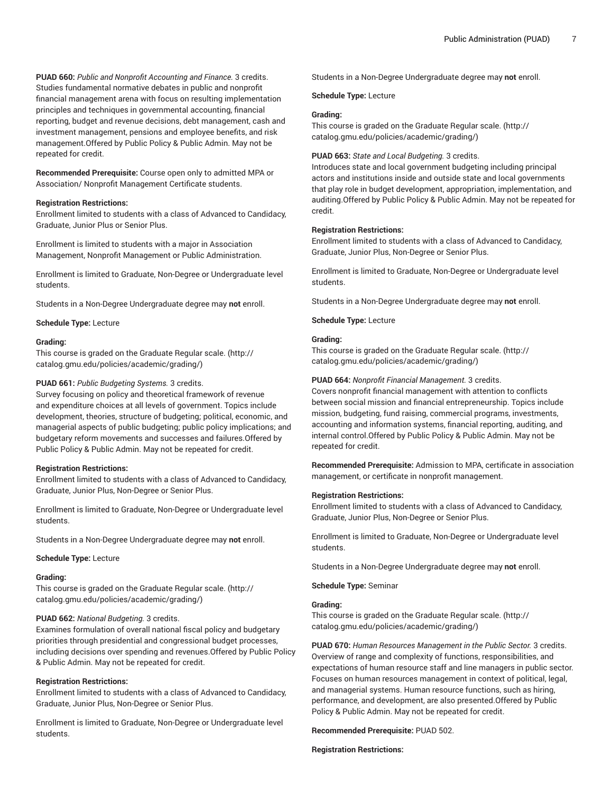**PUAD 660:** *Public and Nonprofit Accounting and Finance.* 3 credits. Studies fundamental normative debates in public and nonprofit financial management arena with focus on resulting implementation principles and techniques in governmental accounting, financial reporting, budget and revenue decisions, debt management, cash and investment management, pensions and employee benefits, and risk management.Offered by Public Policy & Public Admin. May not be repeated for credit.

**Recommended Prerequisite:** Course open only to admitted MPA or Association/ Nonprofit Management Certificate students.

#### **Registration Restrictions:**

Enrollment limited to students with a class of Advanced to Candidacy, Graduate, Junior Plus or Senior Plus.

Enrollment is limited to students with a major in Association Management, Nonprofit Management or Public Administration.

Enrollment is limited to Graduate, Non-Degree or Undergraduate level students.

Students in a Non-Degree Undergraduate degree may **not** enroll.

**Schedule Type:** Lecture

#### **Grading:**

This course is graded on the [Graduate Regular scale.](http://catalog.gmu.edu/policies/academic/grading/) [\(http://](http://catalog.gmu.edu/policies/academic/grading/) [catalog.gmu.edu/policies/academic/grading/\)](http://catalog.gmu.edu/policies/academic/grading/)

#### **PUAD 661:** *Public Budgeting Systems.* 3 credits.

Survey focusing on policy and theoretical framework of revenue and expenditure choices at all levels of government. Topics include development, theories, structure of budgeting; political, economic, and managerial aspects of public budgeting; public policy implications; and budgetary reform movements and successes and failures.Offered by Public Policy & Public Admin. May not be repeated for credit.

#### **Registration Restrictions:**

Enrollment limited to students with a class of Advanced to Candidacy, Graduate, Junior Plus, Non-Degree or Senior Plus.

Enrollment is limited to Graduate, Non-Degree or Undergraduate level students.

Students in a Non-Degree Undergraduate degree may **not** enroll.

#### **Schedule Type:** Lecture

## **Grading:**

This course is graded on the [Graduate Regular scale.](http://catalog.gmu.edu/policies/academic/grading/) [\(http://](http://catalog.gmu.edu/policies/academic/grading/) [catalog.gmu.edu/policies/academic/grading/\)](http://catalog.gmu.edu/policies/academic/grading/)

#### **PUAD 662:** *National Budgeting.* 3 credits.

Examines formulation of overall national fiscal policy and budgetary priorities through presidential and congressional budget processes, including decisions over spending and revenues.Offered by Public Policy & Public Admin. May not be repeated for credit.

## **Registration Restrictions:**

Enrollment limited to students with a class of Advanced to Candidacy, Graduate, Junior Plus, Non-Degree or Senior Plus.

Enrollment is limited to Graduate, Non-Degree or Undergraduate level students.

Students in a Non-Degree Undergraduate degree may **not** enroll.

**Schedule Type:** Lecture

## **Grading:**

This course is graded on the [Graduate Regular scale.](http://catalog.gmu.edu/policies/academic/grading/) ([http://](http://catalog.gmu.edu/policies/academic/grading/) [catalog.gmu.edu/policies/academic/grading/](http://catalog.gmu.edu/policies/academic/grading/))

## **PUAD 663:** *State and Local Budgeting.* 3 credits.

Introduces state and local government budgeting including principal actors and institutions inside and outside state and local governments that play role in budget development, appropriation, implementation, and auditing.Offered by Public Policy & Public Admin. May not be repeated for credit.

## **Registration Restrictions:**

Enrollment limited to students with a class of Advanced to Candidacy, Graduate, Junior Plus, Non-Degree or Senior Plus.

Enrollment is limited to Graduate, Non-Degree or Undergraduate level students.

Students in a Non-Degree Undergraduate degree may **not** enroll.

**Schedule Type:** Lecture

## **Grading:**

This course is graded on the [Graduate Regular scale.](http://catalog.gmu.edu/policies/academic/grading/) ([http://](http://catalog.gmu.edu/policies/academic/grading/) [catalog.gmu.edu/policies/academic/grading/](http://catalog.gmu.edu/policies/academic/grading/))

#### **PUAD 664:** *Nonprofit Financial Management.* 3 credits.

Covers nonprofit financial management with attention to conflicts between social mission and financial entrepreneurship. Topics include mission, budgeting, fund raising, commercial programs, investments, accounting and information systems, financial reporting, auditing, and internal control.Offered by Public Policy & Public Admin. May not be repeated for credit.

**Recommended Prerequisite:** Admission to MPA, certificate in association management, or certificate in nonprofit management.

#### **Registration Restrictions:**

Enrollment limited to students with a class of Advanced to Candidacy, Graduate, Junior Plus, Non-Degree or Senior Plus.

Enrollment is limited to Graduate, Non-Degree or Undergraduate level students.

Students in a Non-Degree Undergraduate degree may **not** enroll.

**Schedule Type:** Seminar

## **Grading:**

This course is graded on the [Graduate Regular scale.](http://catalog.gmu.edu/policies/academic/grading/) ([http://](http://catalog.gmu.edu/policies/academic/grading/) [catalog.gmu.edu/policies/academic/grading/](http://catalog.gmu.edu/policies/academic/grading/))

**PUAD 670:** *Human Resources Management in the Public Sector.* 3 credits. Overview of range and complexity of functions, responsibilities, and expectations of human resource staff and line managers in public sector. Focuses on human resources management in context of political, legal, and managerial systems. Human resource functions, such as hiring, performance, and development, are also presented.Offered by Public Policy & Public Admin. May not be repeated for credit.

## **Recommended Prerequisite:** PUAD 502.

**Registration Restrictions:**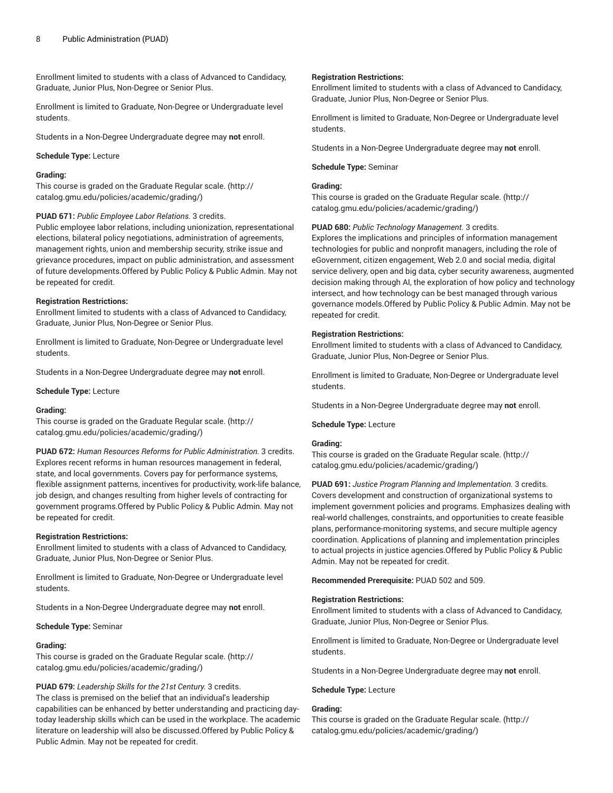Enrollment limited to students with a class of Advanced to Candidacy, Graduate, Junior Plus, Non-Degree or Senior Plus.

Enrollment is limited to Graduate, Non-Degree or Undergraduate level students.

Students in a Non-Degree Undergraduate degree may **not** enroll.

## **Schedule Type:** Lecture

## **Grading:**

This course is graded on the [Graduate Regular scale.](http://catalog.gmu.edu/policies/academic/grading/) [\(http://](http://catalog.gmu.edu/policies/academic/grading/) [catalog.gmu.edu/policies/academic/grading/\)](http://catalog.gmu.edu/policies/academic/grading/)

## **PUAD 671:** *Public Employee Labor Relations.* 3 credits.

Public employee labor relations, including unionization, representational elections, bilateral policy negotiations, administration of agreements, management rights, union and membership security, strike issue and grievance procedures, impact on public administration, and assessment of future developments.Offered by Public Policy & Public Admin. May not be repeated for credit.

#### **Registration Restrictions:**

Enrollment limited to students with a class of Advanced to Candidacy, Graduate, Junior Plus, Non-Degree or Senior Plus.

Enrollment is limited to Graduate, Non-Degree or Undergraduate level students.

Students in a Non-Degree Undergraduate degree may **not** enroll.

#### **Schedule Type:** Lecture

#### **Grading:**

This course is graded on the [Graduate Regular scale.](http://catalog.gmu.edu/policies/academic/grading/) [\(http://](http://catalog.gmu.edu/policies/academic/grading/) [catalog.gmu.edu/policies/academic/grading/\)](http://catalog.gmu.edu/policies/academic/grading/)

**PUAD 672:** *Human Resources Reforms for Public Administration.* 3 credits. Explores recent reforms in human resources management in federal, state, and local governments. Covers pay for performance systems, flexible assignment patterns, incentives for productivity, work-life balance, job design, and changes resulting from higher levels of contracting for government programs.Offered by Public Policy & Public Admin. May not be repeated for credit.

#### **Registration Restrictions:**

Enrollment limited to students with a class of Advanced to Candidacy, Graduate, Junior Plus, Non-Degree or Senior Plus.

Enrollment is limited to Graduate, Non-Degree or Undergraduate level students.

Students in a Non-Degree Undergraduate degree may **not** enroll.

#### **Schedule Type:** Seminar

## **Grading:**

This course is graded on the [Graduate Regular scale.](http://catalog.gmu.edu/policies/academic/grading/) [\(http://](http://catalog.gmu.edu/policies/academic/grading/) [catalog.gmu.edu/policies/academic/grading/\)](http://catalog.gmu.edu/policies/academic/grading/)

## **PUAD 679:** *Leadership Skills for the 21st Century.* 3 credits.

The class is premised on the belief that an individual's leadership capabilities can be enhanced by better understanding and practicing daytoday leadership skills which can be used in the workplace. The academic literature on leadership will also be discussed.Offered by Public Policy & Public Admin. May not be repeated for credit.

#### **Registration Restrictions:**

Enrollment limited to students with a class of Advanced to Candidacy, Graduate, Junior Plus, Non-Degree or Senior Plus.

Enrollment is limited to Graduate, Non-Degree or Undergraduate level students.

Students in a Non-Degree Undergraduate degree may **not** enroll.

#### **Schedule Type:** Seminar

## **Grading:**

This course is graded on the [Graduate Regular scale.](http://catalog.gmu.edu/policies/academic/grading/) ([http://](http://catalog.gmu.edu/policies/academic/grading/) [catalog.gmu.edu/policies/academic/grading/](http://catalog.gmu.edu/policies/academic/grading/))

**PUAD 680:** *Public Technology Management.* 3 credits.

Explores the implications and principles of information management technologies for public and nonprofit managers, including the role of eGovernment, citizen engagement, Web 2.0 and social media, digital service delivery, open and big data, cyber security awareness, augmented decision making through AI, the exploration of how policy and technology intersect, and how technology can be best managed through various governance models.Offered by Public Policy & Public Admin. May not be repeated for credit.

#### **Registration Restrictions:**

Enrollment limited to students with a class of Advanced to Candidacy, Graduate, Junior Plus, Non-Degree or Senior Plus.

Enrollment is limited to Graduate, Non-Degree or Undergraduate level students.

Students in a Non-Degree Undergraduate degree may **not** enroll.

#### **Schedule Type:** Lecture

#### **Grading:**

This course is graded on the [Graduate Regular scale.](http://catalog.gmu.edu/policies/academic/grading/) ([http://](http://catalog.gmu.edu/policies/academic/grading/) [catalog.gmu.edu/policies/academic/grading/](http://catalog.gmu.edu/policies/academic/grading/))

**PUAD 691:** *Justice Program Planning and Implementation.* 3 credits. Covers development and construction of organizational systems to implement government policies and programs. Emphasizes dealing with real-world challenges, constraints, and opportunities to create feasible plans, performance-monitoring systems, and secure multiple agency coordination. Applications of planning and implementation principles to actual projects in justice agencies.Offered by Public Policy & Public Admin. May not be repeated for credit.

**Recommended Prerequisite:** PUAD 502 and 509.

#### **Registration Restrictions:**

Enrollment limited to students with a class of Advanced to Candidacy, Graduate, Junior Plus, Non-Degree or Senior Plus.

Enrollment is limited to Graduate, Non-Degree or Undergraduate level students.

Students in a Non-Degree Undergraduate degree may **not** enroll.

#### **Schedule Type:** Lecture

## **Grading:**

This course is graded on the [Graduate Regular scale.](http://catalog.gmu.edu/policies/academic/grading/) ([http://](http://catalog.gmu.edu/policies/academic/grading/) [catalog.gmu.edu/policies/academic/grading/](http://catalog.gmu.edu/policies/academic/grading/))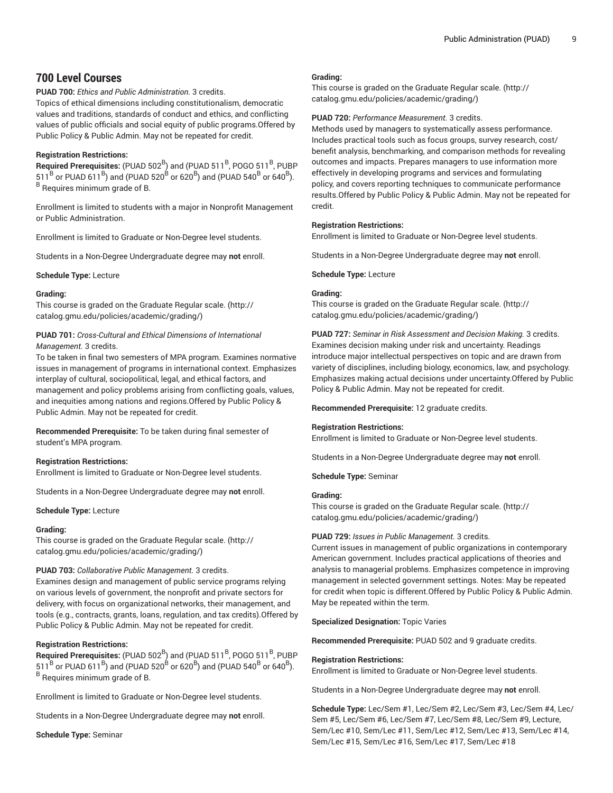# **700 Level Courses**

**PUAD 700:** *Ethics and Public Administration.* 3 credits.

Topics of ethical dimensions including constitutionalism, democratic values and traditions, standards of conduct and ethics, and conflicting values of public officials and social equity of public programs.Offered by Public Policy & Public Admin. May not be repeated for credit.

## **Registration Restrictions:**

Required Prerequisites: (PUAD 502<sup>B</sup>) and (PUAD 511<sup>B</sup>, POGO 511<sup>B</sup>, PUBP  $511^{\mathrm{B}}$  or PUAD 6 $11^{\mathrm{B}}$ ) and (PUAD 520 $^{\mathrm{B}}$  or 620 $^{\mathrm{B}}$ ) and (PUAD 540 $^{\mathrm{B}}$  or 640 $^{\mathrm{B}}$ ). <sup>B</sup> Requires minimum grade of B.

Enrollment is limited to students with a major in Nonprofit Management or Public Administration.

Enrollment is limited to Graduate or Non-Degree level students.

Students in a Non-Degree Undergraduate degree may **not** enroll.

**Schedule Type:** Lecture

## **Grading:**

This course is graded on the [Graduate Regular scale.](http://catalog.gmu.edu/policies/academic/grading/) [\(http://](http://catalog.gmu.edu/policies/academic/grading/) [catalog.gmu.edu/policies/academic/grading/\)](http://catalog.gmu.edu/policies/academic/grading/)

## **PUAD 701:** *Cross-Cultural and Ethical Dimensions of International Management.* 3 credits.

To be taken in final two semesters of MPA program. Examines normative issues in management of programs in international context. Emphasizes interplay of cultural, sociopolitical, legal, and ethical factors, and management and policy problems arising from conflicting goals, values, and inequities among nations and regions.Offered by Public Policy & Public Admin. May not be repeated for credit.

**Recommended Prerequisite:** To be taken during final semester of student's MPA program.

## **Registration Restrictions:**

Enrollment is limited to Graduate or Non-Degree level students.

Students in a Non-Degree Undergraduate degree may **not** enroll.

## **Schedule Type:** Lecture

## **Grading:**

This course is graded on the [Graduate Regular scale.](http://catalog.gmu.edu/policies/academic/grading/) [\(http://](http://catalog.gmu.edu/policies/academic/grading/) [catalog.gmu.edu/policies/academic/grading/\)](http://catalog.gmu.edu/policies/academic/grading/)

## **PUAD 703:** *Collaborative Public Management.* 3 credits.

Examines design and management of public service programs relying on various levels of government, the nonprofit and private sectors for delivery, with focus on organizational networks, their management, and tools (e.g., contracts, grants, loans, regulation, and tax credits).Offered by Public Policy & Public Admin. May not be repeated for credit.

## **Registration Restrictions:**

Required Prerequisites: (PUAD 502<sup>B</sup>) and (PUAD 511<sup>B</sup>, POGO 511<sup>B</sup>, PUBP  $511^{\mathrm{B}}$  or PUAD 6 $11^{\mathrm{B}}$ ) and (PUAD 520 $^{\mathrm{B}}$  or 620 $^{\mathrm{B}}$ ) and (PUAD 540 $^{\mathrm{B}}$  or 640 $^{\mathrm{B}}$ ). <sup>B</sup> Requires minimum grade of B.

Enrollment is limited to Graduate or Non-Degree level students.

Students in a Non-Degree Undergraduate degree may **not** enroll.

**Schedule Type:** Seminar

## **Grading:**

This course is graded on the [Graduate Regular scale.](http://catalog.gmu.edu/policies/academic/grading/) ([http://](http://catalog.gmu.edu/policies/academic/grading/) [catalog.gmu.edu/policies/academic/grading/](http://catalog.gmu.edu/policies/academic/grading/))

#### **PUAD 720:** *Performance Measurement.* 3 credits.

Methods used by managers to systematically assess performance. Includes practical tools such as focus groups, survey research, cost/ benefit analysis, benchmarking, and comparison methods for revealing outcomes and impacts. Prepares managers to use information more effectively in developing programs and services and formulating policy, and covers reporting techniques to communicate performance results.Offered by Public Policy & Public Admin. May not be repeated for credit.

## **Registration Restrictions:**

Enrollment is limited to Graduate or Non-Degree level students.

Students in a Non-Degree Undergraduate degree may **not** enroll.

**Schedule Type:** Lecture

## **Grading:**

This course is graded on the [Graduate Regular scale.](http://catalog.gmu.edu/policies/academic/grading/) ([http://](http://catalog.gmu.edu/policies/academic/grading/) [catalog.gmu.edu/policies/academic/grading/](http://catalog.gmu.edu/policies/academic/grading/))

**PUAD 727:** *Seminar in Risk Assessment and Decision Making.* 3 credits. Examines decision making under risk and uncertainty. Readings introduce major intellectual perspectives on topic and are drawn from variety of disciplines, including biology, economics, law, and psychology. Emphasizes making actual decisions under uncertainty.Offered by Public Policy & Public Admin. May not be repeated for credit.

**Recommended Prerequisite:** 12 graduate credits.

## **Registration Restrictions:**

Enrollment is limited to Graduate or Non-Degree level students.

Students in a Non-Degree Undergraduate degree may **not** enroll.

**Schedule Type:** Seminar

#### **Grading:**

This course is graded on the [Graduate Regular scale.](http://catalog.gmu.edu/policies/academic/grading/) ([http://](http://catalog.gmu.edu/policies/academic/grading/) [catalog.gmu.edu/policies/academic/grading/](http://catalog.gmu.edu/policies/academic/grading/))

#### **PUAD 729:** *Issues in Public Management.* 3 credits.

Current issues in management of public organizations in contemporary American government. Includes practical applications of theories and analysis to managerial problems. Emphasizes competence in improving management in selected government settings. Notes: May be repeated for credit when topic is different.Offered by Public Policy & Public Admin. May be repeated within the term.

**Specialized Designation:** Topic Varies

**Recommended Prerequisite:** PUAD 502 and 9 graduate credits.

## **Registration Restrictions:**

Enrollment is limited to Graduate or Non-Degree level students.

Students in a Non-Degree Undergraduate degree may **not** enroll.

**Schedule Type:** Lec/Sem #1, Lec/Sem #2, Lec/Sem #3, Lec/Sem #4, Lec/ Sem #5, Lec/Sem #6, Lec/Sem #7, Lec/Sem #8, Lec/Sem #9, Lecture, Sem/Lec #10, Sem/Lec #11, Sem/Lec #12, Sem/Lec #13, Sem/Lec #14, Sem/Lec #15, Sem/Lec #16, Sem/Lec #17, Sem/Lec #18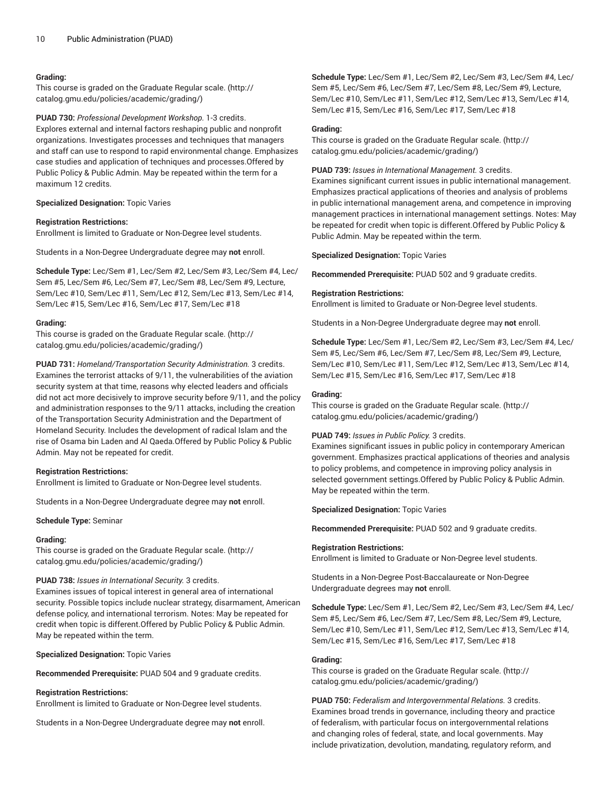## **Grading:**

This course is graded on the [Graduate Regular scale.](http://catalog.gmu.edu/policies/academic/grading/) [\(http://](http://catalog.gmu.edu/policies/academic/grading/) [catalog.gmu.edu/policies/academic/grading/\)](http://catalog.gmu.edu/policies/academic/grading/)

**PUAD 730:** *Professional Development Workshop.* 1-3 credits. Explores external and internal factors reshaping public and nonprofit organizations. Investigates processes and techniques that managers and staff can use to respond to rapid environmental change. Emphasizes case studies and application of techniques and processes.Offered by Public Policy & Public Admin. May be repeated within the term for a maximum 12 credits.

## **Specialized Designation:** Topic Varies

## **Registration Restrictions:**

Enrollment is limited to Graduate or Non-Degree level students.

Students in a Non-Degree Undergraduate degree may **not** enroll.

**Schedule Type:** Lec/Sem #1, Lec/Sem #2, Lec/Sem #3, Lec/Sem #4, Lec/ Sem #5, Lec/Sem #6, Lec/Sem #7, Lec/Sem #8, Lec/Sem #9, Lecture, Sem/Lec #10, Sem/Lec #11, Sem/Lec #12, Sem/Lec #13, Sem/Lec #14, Sem/Lec #15, Sem/Lec #16, Sem/Lec #17, Sem/Lec #18

## **Grading:**

This course is graded on the [Graduate Regular scale.](http://catalog.gmu.edu/policies/academic/grading/) [\(http://](http://catalog.gmu.edu/policies/academic/grading/) [catalog.gmu.edu/policies/academic/grading/\)](http://catalog.gmu.edu/policies/academic/grading/)

**PUAD 731:** *Homeland/Transportation Security Administration.* 3 credits. Examines the terrorist attacks of 9/11, the vulnerabilities of the aviation security system at that time, reasons why elected leaders and officials did not act more decisively to improve security before 9/11, and the policy and administration responses to the 9/11 attacks, including the creation of the Transportation Security Administration and the Department of Homeland Security. Includes the development of radical Islam and the rise of Osama bin Laden and Al Qaeda.Offered by Public Policy & Public Admin. May not be repeated for credit.

## **Registration Restrictions:**

Enrollment is limited to Graduate or Non-Degree level students.

Students in a Non-Degree Undergraduate degree may **not** enroll.

## **Schedule Type:** Seminar

## **Grading:**

This course is graded on the [Graduate Regular scale.](http://catalog.gmu.edu/policies/academic/grading/) [\(http://](http://catalog.gmu.edu/policies/academic/grading/) [catalog.gmu.edu/policies/academic/grading/\)](http://catalog.gmu.edu/policies/academic/grading/)

## **PUAD 738:** *Issues in International Security.* 3 credits.

Examines issues of topical interest in general area of international security. Possible topics include nuclear strategy, disarmament, American defense policy, and international terrorism. Notes: May be repeated for credit when topic is different.Offered by Public Policy & Public Admin. May be repeated within the term.

**Specialized Designation:** Topic Varies

**Recommended Prerequisite:** PUAD 504 and 9 graduate credits.

## **Registration Restrictions:**

Enrollment is limited to Graduate or Non-Degree level students.

Students in a Non-Degree Undergraduate degree may **not** enroll.

**Schedule Type:** Lec/Sem #1, Lec/Sem #2, Lec/Sem #3, Lec/Sem #4, Lec/ Sem #5, Lec/Sem #6, Lec/Sem #7, Lec/Sem #8, Lec/Sem #9, Lecture, Sem/Lec #10, Sem/Lec #11, Sem/Lec #12, Sem/Lec #13, Sem/Lec #14, Sem/Lec #15, Sem/Lec #16, Sem/Lec #17, Sem/Lec #18

## **Grading:**

This course is graded on the [Graduate Regular scale.](http://catalog.gmu.edu/policies/academic/grading/) ([http://](http://catalog.gmu.edu/policies/academic/grading/) [catalog.gmu.edu/policies/academic/grading/](http://catalog.gmu.edu/policies/academic/grading/))

**PUAD 739:** *Issues in International Management.* 3 credits.

Examines significant current issues in public international management. Emphasizes practical applications of theories and analysis of problems in public international management arena, and competence in improving management practices in international management settings. Notes: May be repeated for credit when topic is different.Offered by Public Policy & Public Admin. May be repeated within the term.

**Specialized Designation:** Topic Varies

**Recommended Prerequisite:** PUAD 502 and 9 graduate credits.

## **Registration Restrictions:**

Enrollment is limited to Graduate or Non-Degree level students.

Students in a Non-Degree Undergraduate degree may **not** enroll.

**Schedule Type:** Lec/Sem #1, Lec/Sem #2, Lec/Sem #3, Lec/Sem #4, Lec/ Sem #5, Lec/Sem #6, Lec/Sem #7, Lec/Sem #8, Lec/Sem #9, Lecture, Sem/Lec #10, Sem/Lec #11, Sem/Lec #12, Sem/Lec #13, Sem/Lec #14, Sem/Lec #15, Sem/Lec #16, Sem/Lec #17, Sem/Lec #18

## **Grading:**

This course is graded on the [Graduate Regular scale.](http://catalog.gmu.edu/policies/academic/grading/) ([http://](http://catalog.gmu.edu/policies/academic/grading/) [catalog.gmu.edu/policies/academic/grading/](http://catalog.gmu.edu/policies/academic/grading/))

## **PUAD 749:** *Issues in Public Policy.* 3 credits.

Examines significant issues in public policy in contemporary American government. Emphasizes practical applications of theories and analysis to policy problems, and competence in improving policy analysis in selected government settings.Offered by Public Policy & Public Admin. May be repeated within the term.

**Specialized Designation:** Topic Varies

**Recommended Prerequisite:** PUAD 502 and 9 graduate credits.

## **Registration Restrictions:**

Enrollment is limited to Graduate or Non-Degree level students.

Students in a Non-Degree Post-Baccalaureate or Non-Degree Undergraduate degrees may **not** enroll.

**Schedule Type:** Lec/Sem #1, Lec/Sem #2, Lec/Sem #3, Lec/Sem #4, Lec/ Sem #5, Lec/Sem #6, Lec/Sem #7, Lec/Sem #8, Lec/Sem #9, Lecture, Sem/Lec #10, Sem/Lec #11, Sem/Lec #12, Sem/Lec #13, Sem/Lec #14, Sem/Lec #15, Sem/Lec #16, Sem/Lec #17, Sem/Lec #18

## **Grading:**

This course is graded on the [Graduate Regular scale.](http://catalog.gmu.edu/policies/academic/grading/) ([http://](http://catalog.gmu.edu/policies/academic/grading/) [catalog.gmu.edu/policies/academic/grading/](http://catalog.gmu.edu/policies/academic/grading/))

**PUAD 750:** *Federalism and Intergovernmental Relations.* 3 credits. Examines broad trends in governance, including theory and practice of federalism, with particular focus on intergovernmental relations and changing roles of federal, state, and local governments. May include privatization, devolution, mandating, regulatory reform, and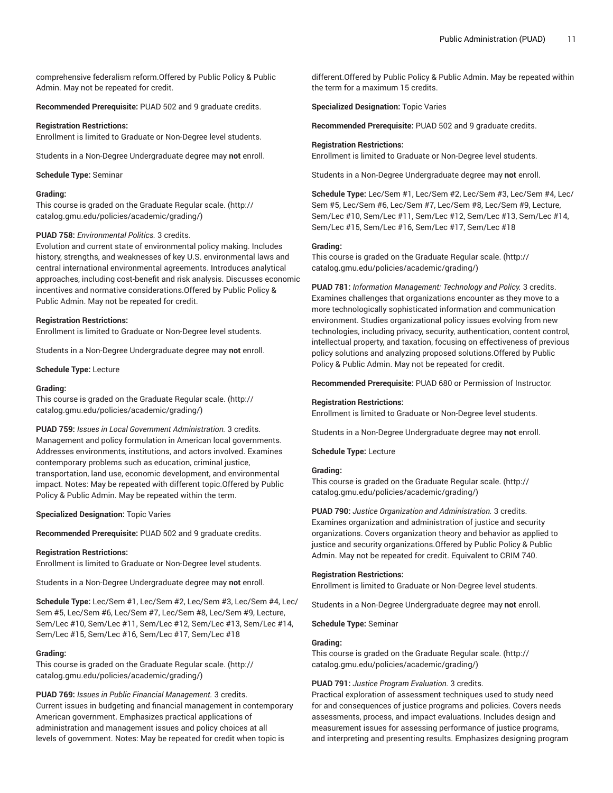comprehensive federalism reform.Offered by Public Policy & Public Admin. May not be repeated for credit.

**Recommended Prerequisite:** PUAD 502 and 9 graduate credits.

#### **Registration Restrictions:**

Enrollment is limited to Graduate or Non-Degree level students.

Students in a Non-Degree Undergraduate degree may **not** enroll.

#### **Schedule Type:** Seminar

## **Grading:**

This course is graded on the [Graduate Regular scale.](http://catalog.gmu.edu/policies/academic/grading/) [\(http://](http://catalog.gmu.edu/policies/academic/grading/) [catalog.gmu.edu/policies/academic/grading/\)](http://catalog.gmu.edu/policies/academic/grading/)

## **PUAD 758:** *Environmental Politics.* 3 credits.

Evolution and current state of environmental policy making. Includes history, strengths, and weaknesses of key U.S. environmental laws and central international environmental agreements. Introduces analytical approaches, including cost-benefit and risk analysis. Discusses economic incentives and normative considerations.Offered by Public Policy & Public Admin. May not be repeated for credit.

#### **Registration Restrictions:**

Enrollment is limited to Graduate or Non-Degree level students.

Students in a Non-Degree Undergraduate degree may **not** enroll.

**Schedule Type:** Lecture

#### **Grading:**

This course is graded on the [Graduate Regular scale.](http://catalog.gmu.edu/policies/academic/grading/) [\(http://](http://catalog.gmu.edu/policies/academic/grading/) [catalog.gmu.edu/policies/academic/grading/\)](http://catalog.gmu.edu/policies/academic/grading/)

**PUAD 759:** *Issues in Local Government Administration.* 3 credits. Management and policy formulation in American local governments. Addresses environments, institutions, and actors involved. Examines contemporary problems such as education, criminal justice, transportation, land use, economic development, and environmental impact. Notes: May be repeated with different topic.Offered by Public Policy & Public Admin. May be repeated within the term.

**Specialized Designation:** Topic Varies

**Recommended Prerequisite:** PUAD 502 and 9 graduate credits.

#### **Registration Restrictions:**

Enrollment is limited to Graduate or Non-Degree level students.

Students in a Non-Degree Undergraduate degree may **not** enroll.

**Schedule Type:** Lec/Sem #1, Lec/Sem #2, Lec/Sem #3, Lec/Sem #4, Lec/ Sem #5, Lec/Sem #6, Lec/Sem #7, Lec/Sem #8, Lec/Sem #9, Lecture, Sem/Lec #10, Sem/Lec #11, Sem/Lec #12, Sem/Lec #13, Sem/Lec #14, Sem/Lec #15, Sem/Lec #16, Sem/Lec #17, Sem/Lec #18

## **Grading:**

This course is graded on the [Graduate Regular scale.](http://catalog.gmu.edu/policies/academic/grading/) [\(http://](http://catalog.gmu.edu/policies/academic/grading/) [catalog.gmu.edu/policies/academic/grading/\)](http://catalog.gmu.edu/policies/academic/grading/)

**PUAD 769:** *Issues in Public Financial Management.* 3 credits. Current issues in budgeting and financial management in contemporary American government. Emphasizes practical applications of administration and management issues and policy choices at all levels of government. Notes: May be repeated for credit when topic is

different.Offered by Public Policy & Public Admin. May be repeated within the term for a maximum 15 credits.

**Specialized Designation:** Topic Varies

**Recommended Prerequisite:** PUAD 502 and 9 graduate credits.

#### **Registration Restrictions:**

Enrollment is limited to Graduate or Non-Degree level students.

Students in a Non-Degree Undergraduate degree may **not** enroll.

**Schedule Type:** Lec/Sem #1, Lec/Sem #2, Lec/Sem #3, Lec/Sem #4, Lec/ Sem #5, Lec/Sem #6, Lec/Sem #7, Lec/Sem #8, Lec/Sem #9, Lecture, Sem/Lec #10, Sem/Lec #11, Sem/Lec #12, Sem/Lec #13, Sem/Lec #14, Sem/Lec #15, Sem/Lec #16, Sem/Lec #17, Sem/Lec #18

## **Grading:**

This course is graded on the [Graduate Regular scale.](http://catalog.gmu.edu/policies/academic/grading/) ([http://](http://catalog.gmu.edu/policies/academic/grading/) [catalog.gmu.edu/policies/academic/grading/](http://catalog.gmu.edu/policies/academic/grading/))

**PUAD 781:** *Information Management: Technology and Policy.* 3 credits. Examines challenges that organizations encounter as they move to a more technologically sophisticated information and communication environment. Studies organizational policy issues evolving from new technologies, including privacy, security, authentication, content control, intellectual property, and taxation, focusing on effectiveness of previous policy solutions and analyzing proposed solutions.Offered by Public Policy & Public Admin. May not be repeated for credit.

**Recommended Prerequisite:** PUAD 680 or Permission of Instructor.

#### **Registration Restrictions:**

Enrollment is limited to Graduate or Non-Degree level students.

Students in a Non-Degree Undergraduate degree may **not** enroll.

**Schedule Type:** Lecture

## **Grading:**

This course is graded on the [Graduate Regular scale.](http://catalog.gmu.edu/policies/academic/grading/) ([http://](http://catalog.gmu.edu/policies/academic/grading/) [catalog.gmu.edu/policies/academic/grading/](http://catalog.gmu.edu/policies/academic/grading/))

**PUAD 790:** *Justice Organization and Administration.* 3 credits. Examines organization and administration of justice and security organizations. Covers organization theory and behavior as applied to justice and security organizations. Offered by Public Policy & Public Admin. May not be repeated for credit. Equivalent to CRIM 740.

## **Registration Restrictions:**

Enrollment is limited to Graduate or Non-Degree level students.

Students in a Non-Degree Undergraduate degree may **not** enroll.

**Schedule Type:** Seminar

#### **Grading:**

This course is graded on the [Graduate Regular scale.](http://catalog.gmu.edu/policies/academic/grading/) ([http://](http://catalog.gmu.edu/policies/academic/grading/) [catalog.gmu.edu/policies/academic/grading/](http://catalog.gmu.edu/policies/academic/grading/))

## **PUAD 791:** *Justice Program Evaluation.* 3 credits.

Practical exploration of assessment techniques used to study need for and consequences of justice programs and policies. Covers needs assessments, process, and impact evaluations. Includes design and measurement issues for assessing performance of justice programs, and interpreting and presenting results. Emphasizes designing program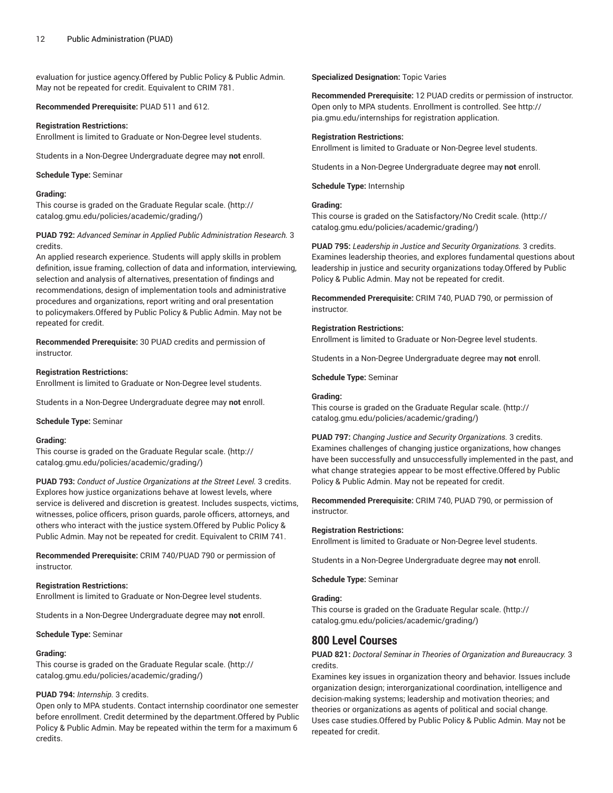evaluation for justice agency.Offered by Public Policy & Public Admin. May not be repeated for credit. Equivalent to CRIM 781.

**Recommended Prerequisite:** PUAD 511 and 612.

## **Registration Restrictions:**

Enrollment is limited to Graduate or Non-Degree level students.

Students in a Non-Degree Undergraduate degree may **not** enroll.

**Schedule Type:** Seminar

## **Grading:**

This course is graded on the [Graduate Regular scale.](http://catalog.gmu.edu/policies/academic/grading/) [\(http://](http://catalog.gmu.edu/policies/academic/grading/) [catalog.gmu.edu/policies/academic/grading/\)](http://catalog.gmu.edu/policies/academic/grading/)

## **PUAD 792:** *Advanced Seminar in Applied Public Administration Research.* 3 credits.

An applied research experience. Students will apply skills in problem definition, issue framing, collection of data and information, interviewing, selection and analysis of alternatives, presentation of findings and recommendations, design of implementation tools and administrative procedures and organizations, report writing and oral presentation to policymakers.Offered by Public Policy & Public Admin. May not be repeated for credit.

**Recommended Prerequisite:** 30 PUAD credits and permission of instructor.

## **Registration Restrictions:**

Enrollment is limited to Graduate or Non-Degree level students.

Students in a Non-Degree Undergraduate degree may **not** enroll.

**Schedule Type:** Seminar

## **Grading:**

This course is graded on the [Graduate Regular scale.](http://catalog.gmu.edu/policies/academic/grading/) [\(http://](http://catalog.gmu.edu/policies/academic/grading/) [catalog.gmu.edu/policies/academic/grading/\)](http://catalog.gmu.edu/policies/academic/grading/)

**PUAD 793:** *Conduct of Justice Organizations at the Street Level.* 3 credits. Explores how justice organizations behave at lowest levels, where service is delivered and discretion is greatest. Includes suspects, victims, witnesses, police officers, prison guards, parole officers, attorneys, and others who interact with the justice system.Offered by Public Policy & Public Admin. May not be repeated for credit. Equivalent to CRIM 741.

**Recommended Prerequisite:** CRIM 740/PUAD 790 or permission of instructor.

## **Registration Restrictions:**

Enrollment is limited to Graduate or Non-Degree level students.

Students in a Non-Degree Undergraduate degree may **not** enroll.

**Schedule Type:** Seminar

## **Grading:**

This course is graded on the [Graduate Regular scale.](http://catalog.gmu.edu/policies/academic/grading/) [\(http://](http://catalog.gmu.edu/policies/academic/grading/) [catalog.gmu.edu/policies/academic/grading/\)](http://catalog.gmu.edu/policies/academic/grading/)

## **PUAD 794:** *Internship.* 3 credits.

Open only to MPA students. Contact internship coordinator one semester before enrollment. Credit determined by the department.Offered by Public Policy & Public Admin. May be repeated within the term for a maximum 6 credits.

**Specialized Designation:** Topic Varies

**Recommended Prerequisite:** 12 PUAD credits or permission of instructor. Open only to MPA students. Enrollment is controlled. See http:// pia.gmu.edu/internships for registration application.

## **Registration Restrictions:**

Enrollment is limited to Graduate or Non-Degree level students.

Students in a Non-Degree Undergraduate degree may **not** enroll.

**Schedule Type:** Internship

## **Grading:**

This course is graded on the [Satisfactory/No](http://catalog.gmu.edu/policies/academic/grading/) Credit scale. [\(http://](http://catalog.gmu.edu/policies/academic/grading/) [catalog.gmu.edu/policies/academic/grading/](http://catalog.gmu.edu/policies/academic/grading/))

**PUAD 795:** *Leadership in Justice and Security Organizations.* 3 credits. Examines leadership theories, and explores fundamental questions about leadership in justice and security organizations today.Offered by Public Policy & Public Admin. May not be repeated for credit.

**Recommended Prerequisite:** CRIM 740, PUAD 790, or permission of instructor.

## **Registration Restrictions:**

Enrollment is limited to Graduate or Non-Degree level students.

Students in a Non-Degree Undergraduate degree may **not** enroll.

**Schedule Type:** Seminar

#### **Grading:**

This course is graded on the [Graduate Regular scale.](http://catalog.gmu.edu/policies/academic/grading/) ([http://](http://catalog.gmu.edu/policies/academic/grading/) [catalog.gmu.edu/policies/academic/grading/](http://catalog.gmu.edu/policies/academic/grading/))

**PUAD 797:** *Changing Justice and Security Organizations.* 3 credits. Examines challenges of changing justice organizations, how changes have been successfully and unsuccessfully implemented in the past, and what change strategies appear to be most effective.Offered by Public Policy & Public Admin. May not be repeated for credit.

**Recommended Prerequisite:** CRIM 740, PUAD 790, or permission of instructor.

## **Registration Restrictions:**

Enrollment is limited to Graduate or Non-Degree level students.

Students in a Non-Degree Undergraduate degree may **not** enroll.

**Schedule Type:** Seminar

## **Grading:**

This course is graded on the [Graduate Regular scale.](http://catalog.gmu.edu/policies/academic/grading/) ([http://](http://catalog.gmu.edu/policies/academic/grading/) [catalog.gmu.edu/policies/academic/grading/](http://catalog.gmu.edu/policies/academic/grading/))

# **800 Level Courses**

## **PUAD 821:** *Doctoral Seminar in Theories of Organization and Bureaucracy.* 3 credits.

Examines key issues in organization theory and behavior. Issues include organization design; interorganizational coordination, intelligence and decision-making systems; leadership and motivation theories; and theories or organizations as agents of political and social change. Uses case studies.Offered by Public Policy & Public Admin. May not be repeated for credit.